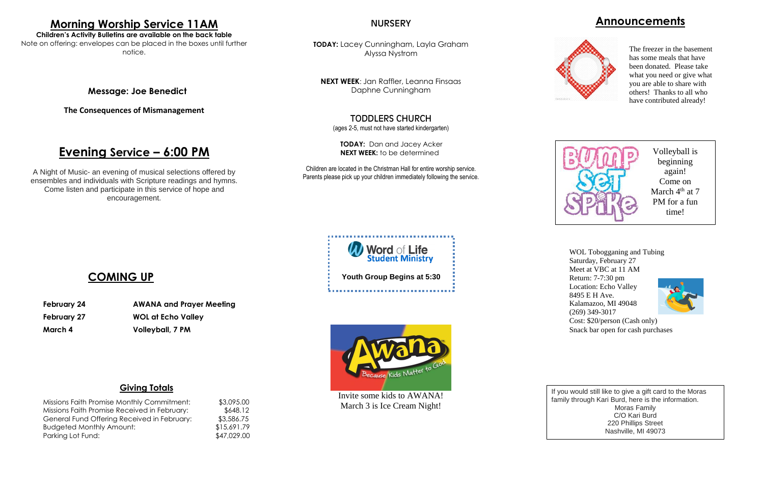## **Announcements**



### **Giving Totals**

| Missions Faith Promise Monthly Commitment:   | \$3,095.00  |
|----------------------------------------------|-------------|
| Missions Faith Promise Received in February: | \$648.12    |
| General Fund Offering Received in February:  | \$3,586.75  |
| <b>Budgeted Monthly Amount:</b>              | \$15,691.79 |
| Parking Lot Fund:                            | \$47,029.00 |

**TODAY:** Lacey Cunningham, Layla Graham Alyssa Nystrom

**NEXT WEEK**: Jan Raffler, Leanna Finsaas Daphne Cunningham

## TODDLERS CHURCH

(ages 2-5, must not have started kindergarten)

**TODAY:** Dan and Jacey Acker **NEXT WEEK:** to be determined

Children are located in the Christman Hall for entire worship service. Parents please pick up your children immediately following the service.

# **Morning Worship Service 11AM**

**Children's Activity Bulletins are available on the back table** Note on offering: envelopes can be placed in the boxes until further notice.

## **Message: Joe Benedict**

**The Consequences of Mismanagement**

# **Evening Service – 6:00 PM**

A Night of Music- an evening of musical selections offered by ensembles and individuals with Scripture readings and hymns. Come listen and participate in this service of hope and encouragement.

### **NURSERY**

# **COMING UP**

**February 24 AWANA and Prayer Meeting February 27 WOL at Echo Valley March 4 Volleyball, 7 PM**





If you would still like to give a gift card to the Moras family through Kari Burd, here is the information. Moras Family C/O Kari Burd 220 Phillips Street Nashville, MI 49073

Volleyball is beginning again! Come on March 4<sup>th</sup> at 7 PM for a fun time!

The freezer in the basement has some meals that have been donated. Please take what you need or give what you are able to share with others! Thanks to all who have contributed already!



WOL Tobogganing and Tubing Saturday, February 27 Meet at VBC at 11 AM Return: 7-7:30 pm Location: Echo Valley 8495 E H Ave. Kalamazoo, MI 49048 (269) 349-3017 Cost: \$20/person (Cash only) Snack bar open for cash purchases



Invite some kids to AWANA! March 3 is Ice Cream Night!